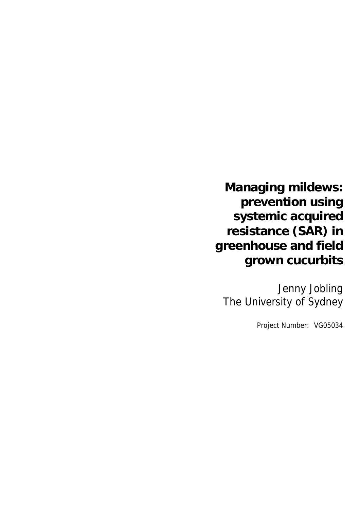# **Managing mildews: prevention using systemic acquired resistance (SAR) in greenhouse and field grown cucurbits**

Jenny Jobling The University of Sydney

Project Number: VG05034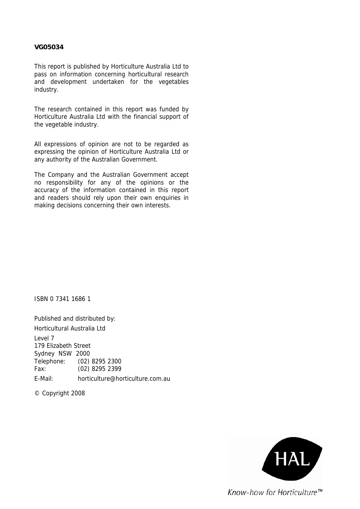#### **VG05034**

This report is published by Horticulture Australia Ltd to pass on information concerning horticultural research and development undertaken for the vegetables industry.

The research contained in this report was funded by Horticulture Australia Ltd with the financial support of the vegetable industry.

All expressions of opinion are not to be regarded as expressing the opinion of Horticulture Australia Ltd or any authority of the Australian Government.

The Company and the Australian Government accept no responsibility for any of the opinions or the accuracy of the information contained in this report and readers should rely upon their own enquiries in making decisions concerning their own interests.

ISBN 0 7341 1686 1

Published and distributed by: Horticultural Australia Ltd Level 7 179 Elizabeth Street Sydney NSW 2000 Telephone: (02) 8295 2300 Fax: (02) 8295 2399 E-Mail: horticulture@horticulture.com.au

© Copyright 2008

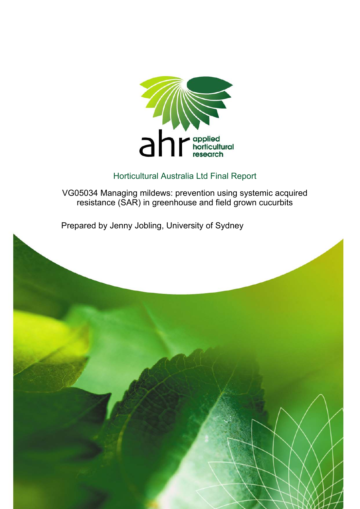

## Horticultural Australia Ltd Final Report

VG05034 Managing mildews: prevention using systemic acquired resistance (SAR) in greenhouse and field grown cucurbits

Prepared by Jenny Jobling, University of Sydney

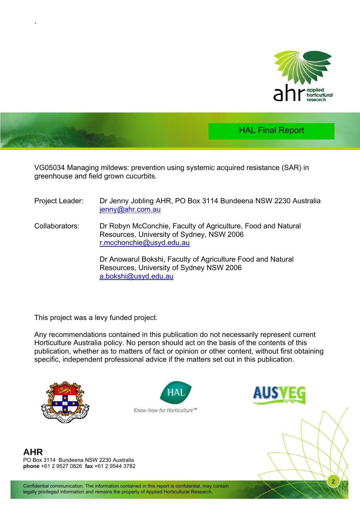



VG05034 Managing mildews: prevention using systemic acquired resistance (SAR) in greenhouse and field grown cucurbits.

- Project Leader: Dr Jenny Jobling AHR, PO Box 3114 Bundeena NSW 2230 Australia [jenny@ahr.com.au](mailto:jenny@ahr.com.au)
- Collaborators: Dr Robyn McConchie, Faculty of Agriculture, Food and Natural Resources, University of Sydney, NSW 2006 [r.mcchonchie@usyd.edu.au](mailto:r.mcchonchie@usyd.edu.au)

 Dr Anowarul Bokshi, Faculty of Agriculture Food and Natural Resources, University of Sydney NSW 2006 [a.bokshi@usyd.edu.au](mailto:a.bokshi@usyd.edu.au)

This project was a levy funded project.

Any recommendations contained in this publication do not necessarily represent current Horticulture Australia policy. No person should act on the basis of the contents of this publication, whether as to matters of fact or opinion or other content, without first obtaining specific, independent professional advice if the matters set out in this publication.



`





**2**

**AHR**  PO Box 3114 Bundeena NSW 2230 Australia **phone** +61 2 9527 0826 **fax** +61 2 9544 3782

Confidential communication. The information contained in this report is confidential, may contain legally privileged information and remains the property of Applied Horticultural Research.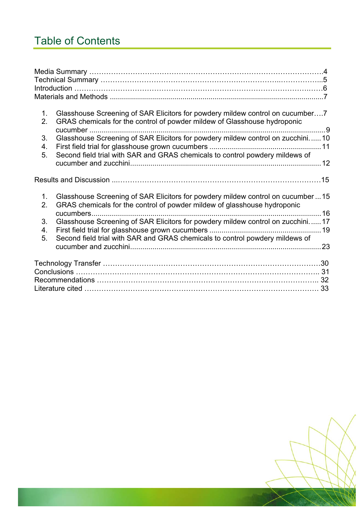# Table of Contents

| 1 <sub>1</sub><br>2. | Glasshouse Screening of SAR Elicitors for powdery mildew control on cucumber7<br>GRAS chemicals for the control of powder mildew of Glasshouse hydroponic      |  |
|----------------------|----------------------------------------------------------------------------------------------------------------------------------------------------------------|--|
| 3.<br>4.             | Glasshouse Screening of SAR Elicitors for powdery mildew control on zucchini10                                                                                 |  |
| 5.                   | Second field trial with SAR and GRAS chemicals to control powdery mildews of                                                                                   |  |
|                      |                                                                                                                                                                |  |
| 1.<br>2.             | Glasshouse Screening of SAR Elicitors for powdery mildew control on cucumber15<br>GRAS chemicals for the control of powder mildew of glasshouse hydroponic     |  |
| 3.<br>4.<br>5.       | Glasshouse Screening of SAR Elicitors for powdery mildew control on zucchini17<br>Second field trial with SAR and GRAS chemicals to control powdery mildews of |  |
|                      |                                                                                                                                                                |  |
|                      |                                                                                                                                                                |  |
|                      |                                                                                                                                                                |  |

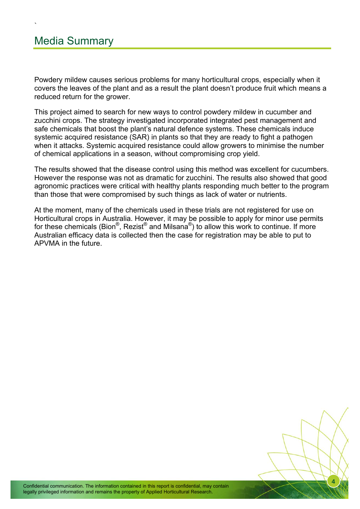`

Powdery mildew causes serious problems for many horticultural crops, especially when it covers the leaves of the plant and as a result the plant doesn't produce fruit which means a reduced return for the grower.

This project aimed to search for new ways to control powdery mildew in cucumber and zucchini crops. The strategy investigated incorporated integrated pest management and safe chemicals that boost the plant's natural defence systems. These chemicals induce systemic acquired resistance (SAR) in plants so that they are ready to fight a pathogen when it attacks. Systemic acquired resistance could allow growers to minimise the number of chemical applications in a season, without compromising crop yield.

The results showed that the disease control using this method was excellent for cucumbers. However the response was not as dramatic for zucchini. The results also showed that good agronomic practices were critical with healthy plants responding much better to the program than those that were compromised by such things as lack of water or nutrients.

At the moment, many of the chemicals used in these trials are not registered for use on Horticultural crops in Australia. However, it may be possible to apply for minor use permits for these chemicals (Bion<sup>®</sup>, Rezist<sup>®</sup> and Milsana<sup>®</sup>) to allow this work to continue. If more Australian efficacy data is collected then the case for registration may be able to put to APVMA in the future.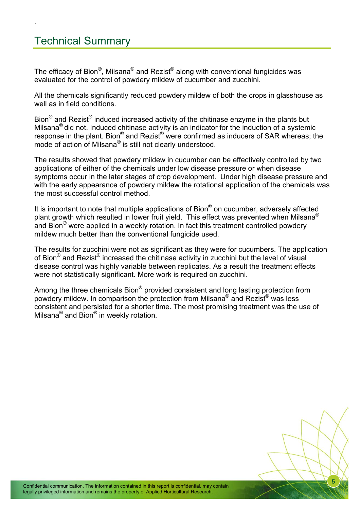## Technical Summary

`

The efficacy of Bion<sup>®</sup>, Milsana<sup>®</sup> and Rezist<sup>®</sup> along with conventional fungicides was evaluated for the control of powdery mildew of cucumber and zucchini.

All the chemicals significantly reduced powdery mildew of both the crops in glasshouse as well as in field conditions.

Bion<sup>®</sup> and Rezist<sup>®</sup> induced increased activity of the chitinase enzyme in the plants but Milsana® did not. Induced chitinase activity is an indicator for the induction of a systemic response in the plant. Bion® and Rezist® were confirmed as inducers of SAR whereas; the mode of action of Milsana® is still not clearly understood.

The results showed that powdery mildew in cucumber can be effectively controlled by two applications of either of the chemicals under low disease pressure or when disease symptoms occur in the later stages of crop development. Under high disease pressure and with the early appearance of powdery mildew the rotational application of the chemicals was the most successful control method.

It is important to note that multiple applications of Bion® on cucumber, adversely affected plant growth which resulted in lower fruit yield. This effect was prevented when Milsana<sup>®</sup> and Bion<sup>®</sup> were applied in a weekly rotation. In fact this treatment controlled powdery mildew much better than the conventional fungicide used.

The results for zucchini were not as significant as they were for cucumbers. The application of Bion® and Rezist® increased the chitinase activity in zucchini but the level of visual disease control was highly variable between replicates. As a result the treatment effects were not statistically significant. More work is required on zucchini.

Among the three chemicals Bion<sup>®</sup> provided consistent and long lasting protection from powdery mildew. In comparison the protection from Milsana® and Rezist® was less consistent and persisted for a shorter time. The most promising treatment was the use of Milsana® and Bion® in weekly rotation.

**5**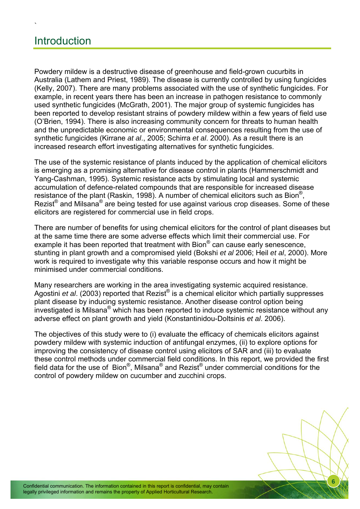## **Introduction**

`

Powdery mildew is a destructive disease of greenhouse and field-grown cucurbits in Australia (Lathem and Priest, 1989). The disease is currently controlled by using fungicides (Kelly, 2007). There are many problems associated with the use of synthetic fungicides. For example, in recent years there has been an increase in pathogen resistance to commonly used synthetic fungicides (McGrath, 2001). The major group of systemic fungicides has been reported to develop resistant strains of powdery mildew within a few years of field use (O'Brien, 1994). There is also increasing community concern for threats to human health and the unpredictable economic or environmental consequences resulting from the use of synthetic fungicides (Kirrane *at al*., 2005; Schirra *et al*. 2000). As a result there is an increased research effort investigating alternatives for synthetic fungicides.

The use of the systemic resistance of plants induced by the application of chemical elicitors is emerging as a promising alternative for disease control in plants (Hammerschmidt and Yang-Cashman, 1995). Systemic resistance acts by stimulating local and systemic accumulation of defence-related compounds that are responsible for increased disease resistance of the plant (Raskin, 1998). A number of chemical elicitors such as Bion®, Rezist<sup>®</sup> and Milsana<sup>®</sup> are being tested for use against various crop diseases. Some of these elicitors are registered for commercial use in field crops.

There are number of benefits for using chemical elicitors for the control of plant diseases but at the same time there are some adverse effects which limit their commercial use. For example it has been reported that treatment with Bion® can cause early senescence, stunting in plant growth and a compromised yield (Bokshi *et al* 2006; Heil *et al*, 2000). More work is required to investigate why this variable response occurs and how it might be minimised under commercial conditions.

Many researchers are working in the area investigating systemic acquired resistance. Agostini *et al*. (2003) reported that Rezist® is a chemical elicitor which partially suppresses plant disease by inducing systemic resistance. Another disease control option being investigated is Milsana® which has been reported to induce systemic resistance without any adverse effect on plant growth and yield (Konstantinidou-Doltsinis *et al*. 2006).

The objectives of this study were to (i) evaluate the efficacy of chemicals elicitors against powdery mildew with systemic induction of antifungal enzymes, (ii) to explore options for improving the consistency of disease control using elicitors of SAR and (iii) to evaluate these control methods under commercial field conditions. In this report, we provided the first field data for the use of Bion®, Milsana® and Rezist® under commercial conditions for the control of powdery mildew on cucumber and zucchini crops.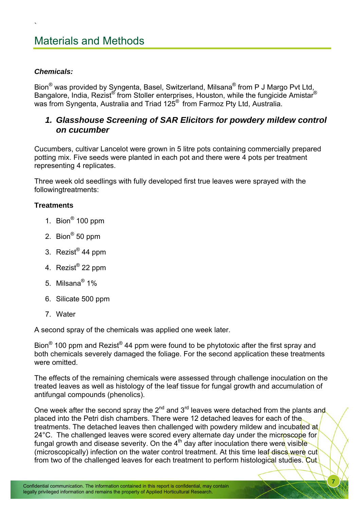## Materials and Methods

#### *Chemicals:*

<span id="page-8-0"></span>`

Bion® was provided by Syngenta, Basel, Switzerland, Milsana® from P J Margo Pvt Ltd, Bangalore, India, Rezist® from Stoller enterprises, Houston, while the fungicide Amistar® was from Syngenta, Australia and Triad 125® from Farmoz Pty Ltd, Australia.

### *1. Glasshouse Screening of SAR Elicitors for powdery mildew control on cucumber*

Cucumbers, cultivar Lancelot were grown in 5 litre pots containing commercially prepared potting mix. Five seeds were planted in each pot and there were 4 pots per treatment representing 4 replicates.

Three week old seedlings with fully developed first true leaves were sprayed with the followingtreatments:

#### **Treatments**

- 1. Bion® 100 ppm
- 2. Bion® 50 ppm
- 3. Rezist® 44 ppm
- 4. Rezist® 22 ppm
- 5. Milsana® 1%
- 6. Silicate 500 ppm
- 7. Water

A second spray of the chemicals was applied one week later.

Bion<sup>®</sup> 100 ppm and Rezist<sup>®</sup> 44 ppm were found to be phytotoxic after the first spray and both chemicals severely damaged the foliage. For the second application these treatments were omitted.

The effects of the remaining chemicals were assessed through challenge inoculation on the treated leaves as well as histology of the leaf tissue for fungal growth and accumulation of antifungal compounds (phenolics).

One week after the second spray the  $2^{nd}$  and  $3^{rd}$  leaves were detached from the plants and placed into the Petri dish chambers. There were 12 detached leaves for each of the treatments. The detached leaves then challenged with powdery mildew and incubated at 24°C. The challenged leaves were scored every alternate day under the microscope for fungal growth and disease severity. On the  $4<sup>th</sup>$  day after inoculation there were visible (microscopically) infection on the water control treatment. At this time leaf discs were cut from two of the challenged leaves for each treatment to perform histological studies. Cut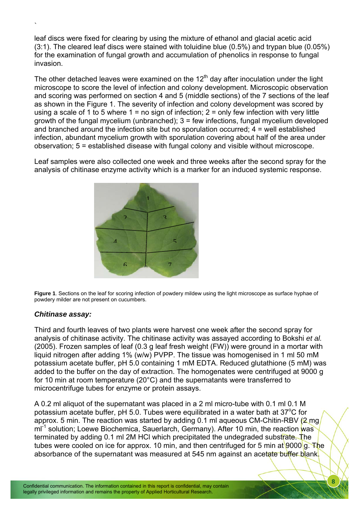leaf discs were fixed for clearing by using the mixture of ethanol and glacial acetic acid (3:1). The cleared leaf discs were stained with toluidine blue (0.5%) and trypan blue (0.05%) for the examination of fungal growth and accumulation of phenolics in response to fungal invasion.

The other detached leaves were examined on the  $12<sup>th</sup>$  day after inoculation under the light microscope to score the level of infection and colony development. Microscopic observation and scoring was performed on section 4 and 5 (middle sections) of the 7 sections of the leaf as shown in the Figure 1. The severity of infection and colony development was scored by using a scale of 1 to 5 where  $1 = no$  sign of infection;  $2 = only$  few infection with very little growth of the fungal mycelium (unbranched); 3 = few infections, fungal mycelium developed and branched around the infection site but no sporulation occurred; 4 = well established infection, abundant mycelium growth with sporulation covering about half of the area under observation; 5 = established disease with fungal colony and visible without microscope.

Leaf samples were also collected one week and three weeks after the second spray for the analysis of chitinase enzyme activity which is a marker for an induced systemic response.



**Figure 1**. Sections on the leaf for scoring infection of powdery mildew using the light microscope as surface hyphae of powdery milder are not present on cucumbers.

#### *Chitinase assay:*

`

Third and fourth leaves of two plants were harvest one week after the second spray for analysis of chitinase activity. The chitinase activity was assayed according to Bokshi *et al.* (2005). Frozen samples of leaf (0.3 g leaf fresh weight (FW)) were ground in a mortar with liquid nitrogen after adding 1% (w/w) PVPP. The tissue was homogenised in 1 ml 50 mM potassium acetate buffer, pH 5.0 containing 1 mM EDTA. Reduced glutathione (5 mM) was added to the buffer on the day of extraction. The homogenates were centrifuged at 9000 g for 10 min at room temperature (20°C) and the supernatants were transferred to microcentrifuge tubes for enzyme or protein assays.

A 0.2 ml aliquot of the supernatant was placed in a 2 ml micro-tube with 0.1 ml 0.1 M potassium acetate buffer, pH 5.0. Tubes were equilibrated in a water bath at 37 $\mathrm{^{\circ}C}$  for approx. 5 min. The reaction was started by adding 0.1 ml aqueous CM-Chitin-RBV (2 mg m<sup>-1</sup> solution; Loewe Biochemica, Sauerlarch, Germany). After 10 min, the reaction was terminated by adding 0.1 ml 2M HCl which precipitated the undegraded substrate. The tubes were cooled on ice for approx. 10 min, and then centrifuged for 5 min at 9000 g. The absorbance of the supernatant was measured at 545 nm against an acetate buffer blank.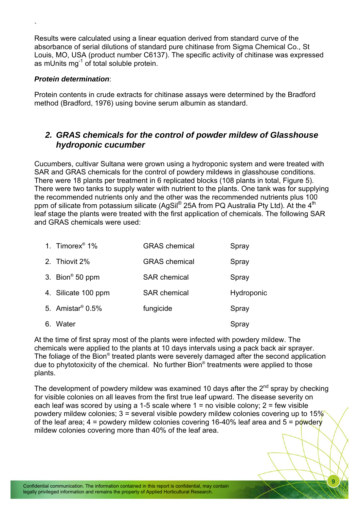Results were calculated using a linear equation derived from standard curve of the absorbance of serial dilutions of standard pure chitinase from Sigma Chemical Co., St Louis, MO, USA (product number C6137). The specific activity of chitinase was expressed as mUnits mg<sup>-1</sup> of total soluble protein.

#### *Protein determination*:

<span id="page-10-0"></span>`

Protein contents in crude extracts for chitinase assays were determined by the Bradford method (Bradford, 1976) using bovine serum albumin as standard.

## *2. GRAS chemicals for the control of powder mildew of Glasshouse hydroponic cucumber*

Cucumbers, cultivar Sultana were grown using a hydroponic system and were treated with SAR and GRAS chemicals for the control of powdery mildews in glasshouse conditions. There were 18 plants per treatment in 6 replicated blocks (108 plants in total, Figure 5). There were two tanks to supply water with nutrient to the plants. One tank was for supplying the recommended nutrients only and the other was the recommended nutrients plus 100 ppm of silicate from potassium silicate (AgSil® 25A from PQ Australia Pty Ltd). At the  $4<sup>th</sup>$ leaf stage the plants were treated with the first application of chemicals. The following SAR and GRAS chemicals were used:

| 1. Timorex <sup>®</sup> 1%      | <b>GRAS</b> chemical | Spray      |
|---------------------------------|----------------------|------------|
| 2. Thiovit 2%                   | <b>GRAS</b> chemical | Spray      |
| 3. Bion® 50 ppm                 | <b>SAR chemical</b>  | Spray      |
| 4. Silicate 100 ppm             | <b>SAR</b> chemical  | Hydroponic |
| 5. Amistar <sup>®</sup> $0.5\%$ | fungicide            | Spray      |
| 6. Water                        |                      | Spray      |

At the time of first spray most of the plants were infected with powdery mildew. The chemicals were applied to the plants at 10 days intervals using a pack back air sprayer. The foliage of the Bion® treated plants were severely damaged after the second application due to phytotoxicity of the chemical. No further Bion® treatments were applied to those plants.

The development of powdery mildew was examined 10 days after the  $2<sup>nd</sup>$  spray by checking for visible colonies on all leaves from the first true leaf upward. The disease severity on each leaf was scored by using a 1-5 scale where  $1 =$  no visible colony;  $2 =$  few visible powdery mildew colonies;  $3$  = several visible powdery mildew colonies covering up to  $15\%$ of the leaf area;  $4 =$  powdery mildew colonies covering 16-40% leaf area and  $5 =$  powdery mildew colonies covering more than 40% of the leaf area.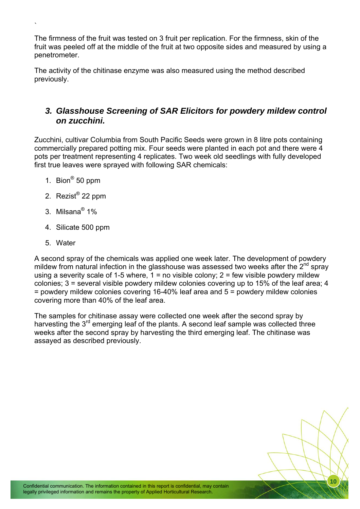The firmness of the fruit was tested on 3 fruit per replication. For the firmness, skin of the fruit was peeled off at the middle of the fruit at two opposite sides and measured by using a penetrometer.

The activity of the chitinase enzyme was also measured using the method described previously.

## *3. Glasshouse Screening of SAR Elicitors for powdery mildew control on zucchini.*

Zucchini, cultivar Columbia from South Pacific Seeds were grown in 8 litre pots containing commercially prepared potting mix. Four seeds were planted in each pot and there were 4 pots per treatment representing 4 replicates. Two week old seedlings with fully developed first true leaves were sprayed with following SAR chemicals:

1. Bion® 50 ppm

<span id="page-11-0"></span>`

- 2. Rezist® 22 ppm
- 3. Milsana® 1%
- 4. Silicate 500 ppm
- 5. Water

A second spray of the chemicals was applied one week later. The development of powdery mildew from natural infection in the glasshouse was assessed two weeks after the  $2^{nd}$  spray using a severity scale of 1-5 where,  $1 =$  no visible colony;  $2 =$  few visible powdery mildew colonies; 3 = several visible powdery mildew colonies covering up to 15% of the leaf area; 4 = powdery mildew colonies covering 16-40% leaf area and 5 = powdery mildew colonies covering more than 40% of the leaf area.

The samples for chitinase assay were collected one week after the second spray by harvesting the  $3<sup>rd</sup>$  emerging leaf of the plants. A second leaf sample was collected three weeks after the second spray by harvesting the third emerging leaf. The chitinase was assayed as described previously.

Confidential communication. The information contained in this report is confidential, may contain legally privileged information and remains the property of Applied Horticultural Research.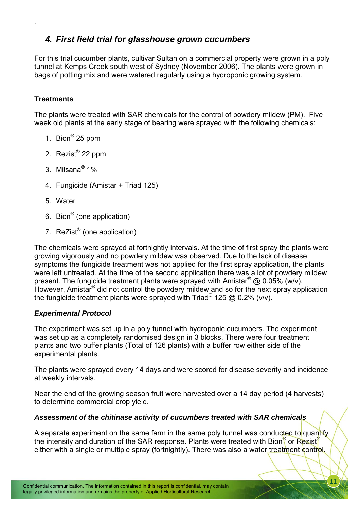## *4. First field trial for glasshouse grown cucumbers*

For this trial cucumber plants, cultivar Sultan on a commercial property were grown in a poly tunnel at Kemps Creek south west of Sydney (November 2006). The plants were grown in bags of potting mix and were watered regularly using a hydroponic growing system.

#### **Treatments**

<span id="page-12-0"></span>`

The plants were treated with SAR chemicals for the control of powdery mildew (PM). Five week old plants at the early stage of bearing were sprayed with the following chemicals:

- 1. Bion® 25 ppm
- 2. Rezist® 22 ppm
- 3. Milsana® 1%
- 4. Fungicide (Amistar + Triad 125)
- 5. Water
- 6. Bion® (one application)
- 7. ReZist® (one application)

The chemicals were sprayed at fortnightly intervals. At the time of first spray the plants were growing vigorously and no powdery mildew was observed. Due to the lack of disease symptoms the fungicide treatment was not applied for the first spray application, the plants were left untreated. At the time of the second application there was a lot of powdery mildew present. The fungicide treatment plants were sprayed with Amistar<sup>®</sup> @ 0.05% (w/v). However, Amistar® did not control the powdery mildew and so for the next spray application the fungicide treatment plants were sprayed with  $Triad^{\otimes} 125 \otimes 0.2\%$  (v/v).

#### *Experimental Protocol*

The experiment was set up in a poly tunnel with hydroponic cucumbers. The experiment was set up as a completely randomised design in 3 blocks. There were four treatment plants and two buffer plants (Total of 126 plants) with a buffer row either side of the experimental plants.

The plants were sprayed every 14 days and were scored for disease severity and incidence at weekly intervals.

Near the end of the growing season fruit were harvested over a 14 day period (4 harvests) to determine commercial crop yield.

#### *Assessment of the chitinase activity of cucumbers treated with SAR chemicals*

A separate experiment on the same farm in the same poly tunnel was conducted to quantify the intensity and duration of the SAR response. Plants were treated with Bion<sup>®</sup> or Rezist<sup>®</sup> either with a single or multiple spray (fortnightly). There was also a water treatment control.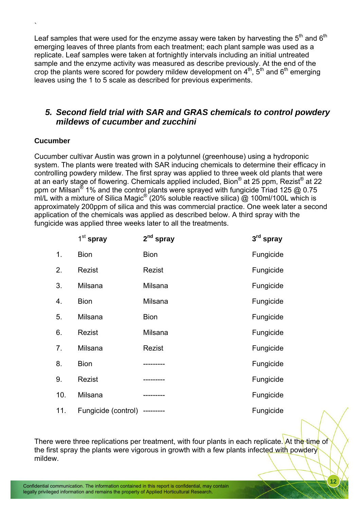Leaf samples that were used for the enzyme assay were taken by harvesting the  $5<sup>th</sup>$  and  $6<sup>th</sup>$ emerging leaves of three plants from each treatment; each plant sample was used as a replicate. Leaf samples were taken at fortnightly intervals including an initial untreated sample and the enzyme activity was measured as describe previously. At the end of the crop the plants were scored for powdery mildew development on  $4<sup>th</sup>$ ,  $5<sup>th</sup>$  and  $6<sup>th</sup>$  emerging leaves using the 1 to 5 scale as described for previous experiments.

## *5. Second field trial with SAR and GRAS chemicals to control powdery mildews of cucumber and zucchini*

#### **Cucumber**

<span id="page-13-0"></span>`

Cucumber cultivar Austin was grown in a polytunnel (greenhouse) using a hydroponic system. The plants were treated with SAR inducing chemicals to determine their efficacy in controlling powdery mildew. The first spray was applied to three week old plants that were at an early stage of flowering. Chemicals applied included, Bion® at 25 ppm, Rezist® at 22 ppm or Milsan® 1% and the control plants were sprayed with fungicide Triad 125 @ 0.75 ml/L with a mixture of Silica Magic<sup>®</sup> (20% soluble reactive silica) @ 100ml/100L which is approximately 200ppm of silica and this was commercial practice. One week later a second application of the chemicals was applied as described below. A third spray with the fungicide was applied three weeks later to all the treatments.

|     | $1st$ spray         | $2nd$ spray | $3rd$ spray |
|-----|---------------------|-------------|-------------|
| 1.  | <b>Bion</b>         | <b>Bion</b> | Fungicide   |
| 2.  | Rezist              | Rezist      | Fungicide   |
| 3.  | Milsana             | Milsana     | Fungicide   |
| 4.  | <b>Bion</b>         | Milsana     | Fungicide   |
| 5.  | Milsana             | <b>Bion</b> | Fungicide   |
| 6.  | Rezist              | Milsana     | Fungicide   |
| 7.  | Milsana             | Rezist      | Fungicide   |
| 8.  | <b>Bion</b>         |             | Fungicide   |
| 9.  | Rezist              |             | Fungicide   |
| 10. | Milsana             | ---------   | Fungicide   |
| 11. | Fungicide (control) | ---------   | Fungicide   |

There were three replications per treatment, with four plants in each replicate. At the time of the first spray the plants were vigorous in growth with a few plants infected with powdery mildew.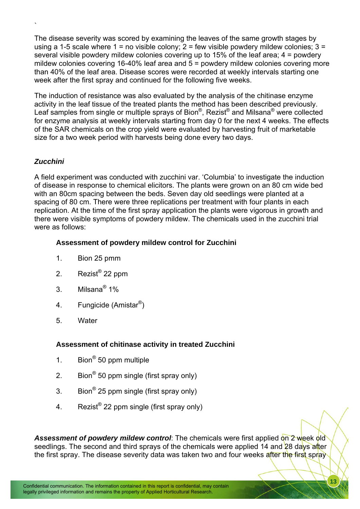The disease severity was scored by examining the leaves of the same growth stages by using a 1-5 scale where  $1 =$  no visible colony;  $2 =$  few visible powdery mildew colonies;  $3 =$ several visible powdery mildew colonies covering up to 15% of the leaf area; 4 = powdery mildew colonies covering 16-40% leaf area and 5 = powdery mildew colonies covering more than 40% of the leaf area. Disease scores were recorded at weekly intervals starting one week after the first spray and continued for the following five weeks.

The induction of resistance was also evaluated by the analysis of the chitinase enzyme activity in the leaf tissue of the treated plants the method has been described previously. Leaf samples from single or multiple sprays of Bion<sup>®</sup>, Rezist<sup>®</sup> and Milsana<sup>®</sup> were collected for enzyme analysis at weekly intervals starting from day 0 for the next 4 weeks. The effects of the SAR chemicals on the crop yield were evaluated by harvesting fruit of marketable size for a two week period with harvests being done every two days.

### *Zucchini*

`

A field experiment was conducted with zucchini var. 'Columbia' to investigate the induction of disease in response to chemical elicitors. The plants were grown on an 80 cm wide bed with an 80cm spacing between the beds. Seven day old seedlings were planted at a spacing of 80 cm. There were three replications per treatment with four plants in each replication. At the time of the first spray application the plants were vigorous in growth and there were visible symptoms of powdery mildew. The chemicals used in the zucchini trial were as follows:

#### **Assessment of powdery mildew control for Zucchini**

- 1. Bion 25 pmm
- 2. Rezist® 22 ppm
- 3. Milsana<sup>®</sup> 1%
- 4. Fungicide (Amistar<sup>®</sup>)
- 5. Water

#### **Assessment of chitinase activity in treated Zucchini**

- 1. Bion<sup>®</sup> 50 ppm multiple
- 2. Bion<sup>®</sup> 50 ppm single (first spray only)
- 3. Bion<sup>®</sup> 25 ppm single (first spray only)
- 4. Rezist<sup>®</sup> 22 ppm single (first spray only)

Assessment of powdery mildew control: The chemicals were first applied on 2 week old seedlings. The second and third sprays of the chemicals were applied 14 and 28 days after the first spray. The disease severity data was taken two and four weeks after the first spray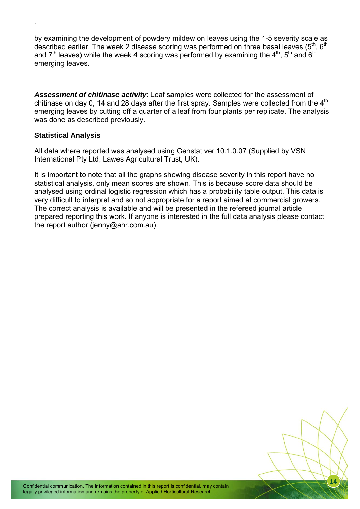by examining the development of powdery mildew on leaves using the 1-5 severity scale as described earlier. The week 2 disease scoring was performed on three basal leaves  $(5<sup>th</sup>, 6<sup>th</sup>)$ and  $7<sup>th</sup>$  leaves) while the week 4 scoring was performed by examining the  $4<sup>th</sup>$ ,  $5<sup>th</sup>$  and  $6<sup>th</sup>$ emerging leaves.

*Assessment of chitinase activity*: Leaf samples were collected for the assessment of chitinase on day 0, 14 and 28 days after the first spray. Samples were collected from the  $4<sup>th</sup>$ emerging leaves by cutting off a quarter of a leaf from four plants per replicate. The analysis was done as described previously.

#### **Statistical Analysis**

`

All data where reported was analysed using Genstat ver 10.1.0.07 (Supplied by VSN International Pty Ltd, Lawes Agricultural Trust, UK).

It is important to note that all the graphs showing disease severity in this report have no statistical analysis, only mean scores are shown. This is because score data should be analysed using ordinal logistic regression which has a probability table output. This data is very difficult to interpret and so not appropriate for a report aimed at commercial growers. The correct analysis is available and will be presented in the refereed journal article prepared reporting this work. If anyone is interested in the full data analysis please contact the report author (jenny@ahr.com.au).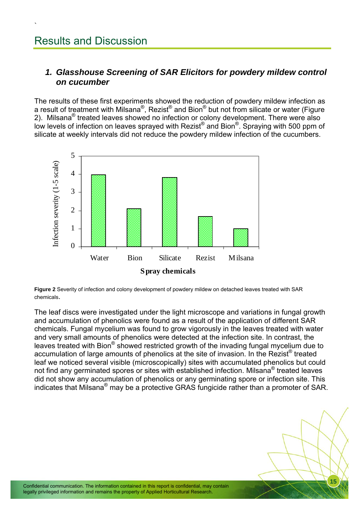<span id="page-16-0"></span>`

## *1. Glasshouse Screening of SAR Elicitors for powdery mildew control on cucumber*

The results of these first experiments showed the reduction of powdery mildew infection as a result of treatment with Milsana®, Rezist® and Bion® but not from silicate or water (Figure 2). Milsana<sup>®</sup> treated leaves showed no infection or colony development. There were also low levels of infection on leaves sprayed with Rezist® and Bion®. Spraying with 500 ppm of silicate at weekly intervals did not reduce the powdery mildew infection of the cucumbers.



**Figure 2** Severity of infection and colony development of powdery mildew on detached leaves treated with SAR chemicals.

The leaf discs were investigated under the light microscope and variations in fungal growth and accumulation of phenolics were found as a result of the application of different SAR chemicals. Fungal mycelium was found to grow vigorously in the leaves treated with water and very small amounts of phenolics were detected at the infection site. In contrast, the leaves treated with Bion® showed restricted growth of the invading fungal mycelium due to accumulation of large amounts of phenolics at the site of invasion. In the Rezist<sup>®</sup> treated leaf we noticed several visible (microscopically) sites with accumulated phenolics but could not find any germinated spores or sites with established infection. Milsana<sup>®</sup> treated leaves did not show any accumulation of phenolics or any germinating spore or infection site. This indicates that Milsana® may be a protective GRAS fungicide rather than a promoter of SAR.

Confidential communication. The information contained in this report is confidential, may contain legally privileged information and remains the property of Applied Horticultural Research.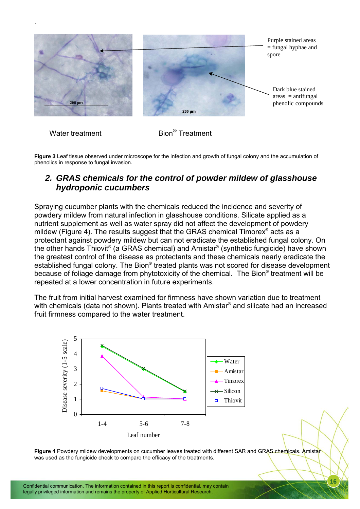<span id="page-17-0"></span>

Water treatment Bion® Treatment

**Figure 3** Leaf tissue observed under microscope for the infection and growth of fungal colony and the accumulation of phenolics in response to fungal invasion.

## *2. GRAS chemicals for the control of powder mildew of glasshouse hydroponic cucumbers*

Spraying cucumber plants with the chemicals reduced the incidence and severity of powdery mildew from natural infection in glasshouse conditions. Silicate applied as a nutrient supplement as well as water spray did not affect the development of powdery mildew (Figure 4). The results suggest that the GRAS chemical Timorex<sup>®</sup> acts as a protectant against powdery mildew but can not eradicate the established fungal colony. On the other hands Thiovit® (a GRAS chemical) and Amistar® (synthetic fungicide) have shown the greatest control of the disease as protectants and these chemicals nearly eradicate the established fungal colony. The Bion® treated plants was not scored for disease development because of foliage damage from phytotoxicity of the chemical. The Bion® treatment will be repeated at a lower concentration in future experiments.

The fruit from initial harvest examined for firmness have shown variation due to treatment with chemicals (data not shown). Plants treated with Amistar® and silicate had an increased fruit firmness compared to the water treatment.



**Figure 4** Powdery mildew developments on cucumber leaves treated with different SAR and GRAS chemicals. Amistar was used as the fungicide check to compare the efficacy of the treatments.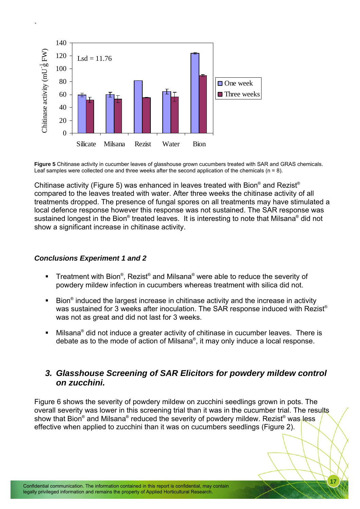

**Figure 5** Chitinase activity in cucumber leaves of glasshouse grown cucumbers treated with SAR and GRAS chemicals. Leaf samples were collected one and three weeks after the second application of the chemicals ( $n = 8$ ).

Chitinase activity (Figure 5) was enhanced in leaves treated with Bion® and Rezist® compared to the leaves treated with water. After three weeks the chitinase activity of all treatments dropped. The presence of fungal spores on all treatments may have stimulated a local defence response however this response was not sustained. The SAR response was sustained longest in the Bion® treated leaves. It is interesting to note that Milsana® did not show a significant increase in chitinase activity.

#### *Conclusions Experiment 1 and 2*

<span id="page-18-0"></span>`

- **Treatment with Bion**<sup>®</sup>, Rezist<sup>®</sup> and Milsana<sup>®</sup> were able to reduce the severity of powdery mildew infection in cucumbers whereas treatment with silica did not.
- $\blacksquare$  Bion<sup>®</sup> induced the largest increase in chitinase activity and the increase in activity was sustained for 3 weeks after inoculation. The SAR response induced with Rezist® was not as great and did not last for 3 weeks.
- $\blacksquare$  Milsana<sup>®</sup> did not induce a greater activity of chitinase in cucumber leaves. There is debate as to the mode of action of Milsana® , it may only induce a local response.

### *3. Glasshouse Screening of SAR Elicitors for powdery mildew control on zucchini.*

Figure 6 shows the severity of powdery mildew on zucchini seedlings grown in pots. The overall severity was lower in this screening trial than it was in the cucumber trial. The results show that Bion® and Milsana® reduced the severity of powdery mildew. Rezist® was less effective when applied to zucchini than it was on cucumbers seedlings (Figure 2).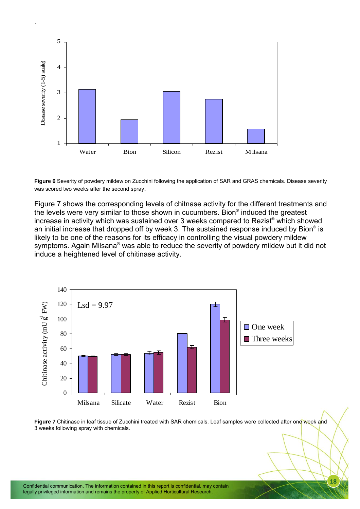

`

**Figure 6** Severity of powdery mildew on Zucchini following the application of SAR and GRAS chemicals. Disease severity was scored two weeks after the second spray.

Figure 7 shows the corresponding levels of chitnase activity for the different treatments and the levels were very similar to those shown in cucumbers. Bion<sup>®</sup> induced the greatest increase in activity which was sustained over 3 weeks compared to Rezist® which showed an initial increase that dropped off by week 3. The sustained response induced by Bion® is likely to be one of the reasons for its efficacy in controlling the visual powdery mildew symptoms. Again Milsana® was able to reduce the severity of powdery mildew but it did not induce a heightened level of chitinase activity.



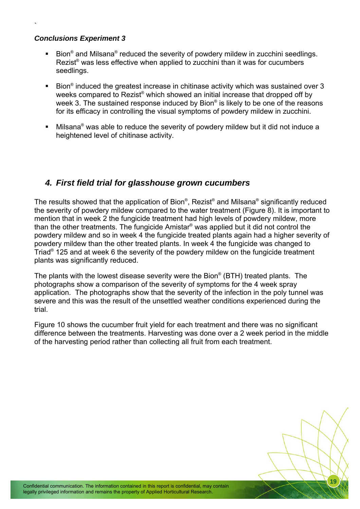#### *Conclusions Experiment 3*

<span id="page-20-0"></span>`

- **Bion**<sup>®</sup> and Milsana<sup>®</sup> reduced the severity of powdery mildew in zucchini seedlings. Rezist<sup>®</sup> was less effective when applied to zucchini than it was for cucumbers seedlings.
- Bion<sup>®</sup> induced the greatest increase in chitinase activity which was sustained over 3 weeks compared to Rezist® which showed an initial increase that dropped off by week 3. The sustained response induced by Bion® is likely to be one of the reasons for its efficacy in controlling the visual symptoms of powdery mildew in zucchini.
- $\blacksquare$  Milsana<sup>®</sup> was able to reduce the severity of powdery mildew but it did not induce a heightened level of chitinase activity.

## *4. First field trial for glasshouse grown cucumbers*

The results showed that the application of Bion® , Rezist® and Milsana® significantly reduced the severity of powdery mildew compared to the water treatment (Figure 8). It is important to mention that in week 2 the fungicide treatment had high levels of powdery mildew, more than the other treatments. The fungicide Amistar® was applied but it did not control the powdery mildew and so in week 4 the fungicide treated plants again had a higher severity of powdery mildew than the other treated plants. In week 4 the fungicide was changed to Triad<sup>®</sup> 125 and at week 6 the severity of the powdery mildew on the fungicide treatment plants was significantly reduced.

The plants with the lowest disease severity were the Bion® (BTH) treated plants. The photographs show a comparison of the severity of symptoms for the 4 week spray application. The photographs show that the severity of the infection in the poly tunnel was severe and this was the result of the unsettled weather conditions experienced during the trial.

Figure 10 shows the cucumber fruit yield for each treatment and there was no significant difference between the treatments. Harvesting was done over a 2 week period in the middle of the harvesting period rather than collecting all fruit from each treatment.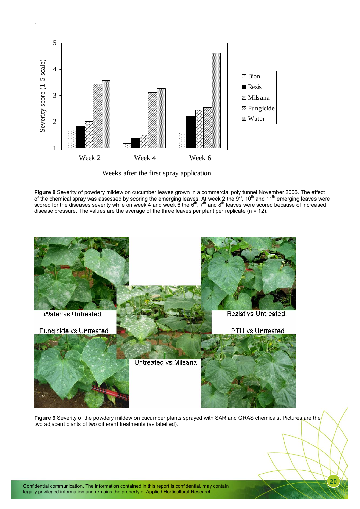

`

Weeks after the first spray application

**Figure 8** Severity of powdery mildew on cucumber leaves grown in a commercial poly tunnel November 2006. The effect of the chemical spray was assessed by scoring the emerging leaves. At week 2 the  $9^{th}$ , 10<sup>th</sup> and 11<sup>th</sup> emerging leaves were scored for the diseases severity while on week 4 and week 6 the  $6^{th}$ , 7<sup>th</sup> and 8<sup>th</sup> leaves were scored because of increased disease pressure. The values are the average of the three leaves per plant per replicate ( $n = 12$ ).



**Figure 9** Severity of the powdery mildew on cucumber plants sprayed with SAR and GRAS chemicals. Pictures are the two adjacent plants of two different treatments (as labelled).

Confidential communication. The information contained in this report is confidential, may contain legally privileged information and remains the property of Applied Horticultural Research.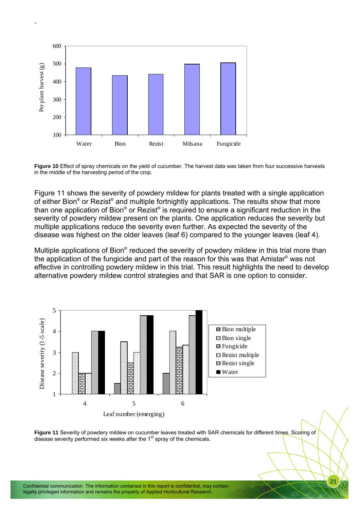

`

**Figure 10** Effect of spray chemicals on the yield of cucumber. The harvest data was taken from four successive harvests in the middle of the harvesting period of the crop.

Figure 11 shows the severity of powdery mildew for plants treated with a single application of either Bion® or Rezist® and multiple fortnightly applications. The results show that more than one application of Bion® or Rezist® is required to ensure a significant reduction in the severity of powdery mildew present on the plants. One application reduces the severity but multiple applications reduce the severity even further. As expected the severity of the disease was highest on the older leaves (leaf 6) compared to the younger leaves (leaf 4).

Multiple applications of Bion® reduced the severity of powdery mildew in this trial more than the application of the fungicide and part of the reason for this was that Amistar® was not effective in controlling powdery mildew in this trial. This result highlights the need to develop alternative powdery mildew control strategies and that SAR is one option to consider.



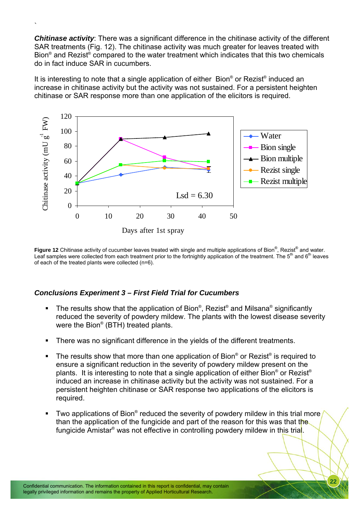**Chitinase activity**: There was a significant difference in the chitinase activity of the different SAR treatments (Fig. 12). The chitinase activity was much greater for leaves treated with Bion<sup>®</sup> and Rezist<sup>®</sup> compared to the water treatment which indicates that this two chemicals do in fact induce SAR in cucumbers.

`

It is interesting to note that a single application of either Bion® or Rezist® induced an increase in chitinase activity but the activity was not sustained. For a persistent heighten chitinase or SAR response more than one application of the elicitors is required.



Figure 12 Chitinase activity of cucumber leaves treated with single and multiple applications of Bion<sup>®</sup>, Rezist<sup>®</sup> and water. Leaf samples were collected from each treatment prior to the fortnightly application of the treatment. The  $5<sup>th</sup>$  and  $6<sup>th</sup>$  leaves of each of the treated plants were collected (n=6).

#### *Conclusions Experiment 3 – First Field Trial for Cucumbers*

- **The results show that the application of Bion**®, Rezist<sup>®</sup> and Milsana® significantly reduced the severity of powdery mildew. The plants with the lowest disease severity were the Bion® (BTH) treated plants.
- There was no significant difference in the yields of the different treatments.
- **The results show that more than one application of Bion® or Rezist® is required to** ensure a significant reduction in the severity of powdery mildew present on the plants. It is interesting to note that a single application of either Bion® or Rezist® induced an increase in chitinase activity but the activity was not sustained. For a persistent heighten chitinase or SAR response two applications of the elicitors is required.
- Two applications of Bion® reduced the severity of powdery mildew in this trial more than the application of the fungicide and part of the reason for this was that the fungicide Amistar® was not effective in controlling powdery mildew in this tria<mark>l</mark>.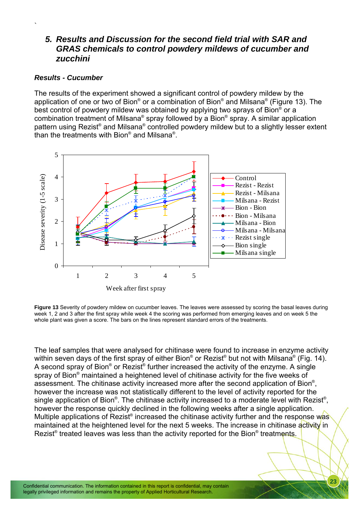## *5. Results and Discussion for the second field trial with SAR and GRAS chemicals to control powdery mildews of cucumber and zucchini*

#### *Results - Cucumber*

<span id="page-24-0"></span>`

The results of the experiment showed a significant control of powdery mildew by the application of one or two of Bion® or a combination of Bion® and Milsana® (Figure 13). The best control of powdery mildew was obtained by applying two sprays of Bion<sup>®</sup> or a combination treatment of Milsana® spray followed by a Bion® spray. A similar application pattern using Rezist® and Milsana® controlled powdery mildew but to a slightly lesser extent than the treatments with Bion® and Milsana®.



**Figure 13** Severity of powdery mildew on cucumber leaves. The leaves were assessed by scoring the basal leaves during week 1, 2 and 3 after the first spray while week 4 the scoring was performed from emerging leaves and on week 5 the whole plant was given a score. The bars on the lines represent standard errors of the treatments.

The leaf samples that were analysed for chitinase were found to increase in enzyme activity within seven days of the first spray of either Bion® or Rezist® but not with Milsana® (Fig. 14). A second spray of Bion® or Rezist® further increased the activity of the enzyme. A single spray of Bion<sup>®</sup> maintained a heightened level of chitinase activity for the five weeks of assessment. The chitinase activity increased more after the second application of Bion<sup>®</sup>, however the increase was not statistically different to the level of activity reported for the single application of Bion®. The chitinase activity increased to a moderate level with Rezist®, however the response quickly declined in the following weeks after a single application. Multiple applications of Rezist® increased the chitinase activity further and the response was maintained at the heightened level for the next 5 weeks. The increase in chitinase activity in Rezist<sup>®</sup> treated leaves was less than the activity reported for the Bion<sup>®</sup> treatments.

Confidential communication. The information contained in this report is confidential, may contain legally privileged information and remains the property of Applied Horticultural Research.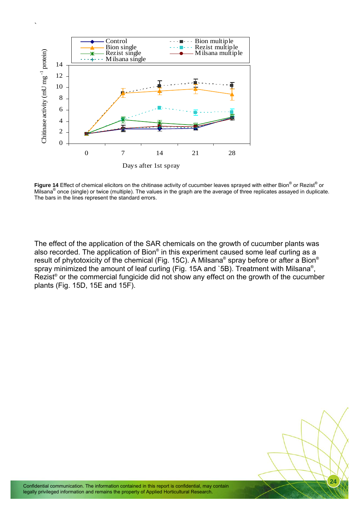

**Figure 14** Effect of chemical elicitors on the chitinase activity of cucumber leaves sprayed with either Bion® or Rezist® or Milsana<sup>®</sup> once (single) or twice (multiple). The values in the graph are the average of three replicates assayed in duplicate. The bars in the lines represent the standard errors.

The effect of the application of the SAR chemicals on the growth of cucumber plants was also recorded. The application of Bion® in this experiment caused some leaf curling as a result of phytotoxicity of the chemical (Fig. 15C). A Milsana® spray before or after a Bion® spray minimized the amount of leaf curling (Fig. 15A and `5B). Treatment with Milsana<sup>®</sup>, Rezist<sup>®</sup> or the commercial fungicide did not show any effect on the growth of the cucumber plants (Fig. 15D, 15E and 15F).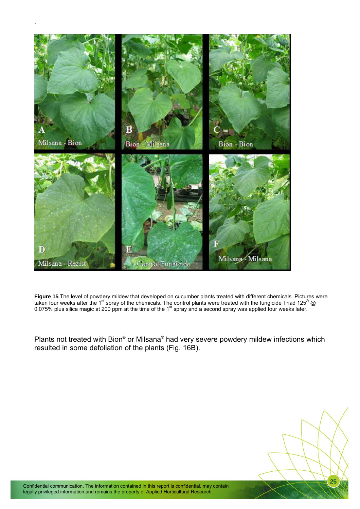

**Figure 15** The level of powdery mildew that developed on cucumber plants treated with different chemicals. Pictures were taken four weeks after the 1<sup>st</sup> spray of the chemicals. The control plants were treated with the fungicide Triad 125<sup>®</sup> @ 0.075% plus silica magic at 200 ppm at the time of the 1<sup>st</sup> spray and a second spray was applied four weeks later.

Plants not treated with Bion® or Milsana® had very severe powdery mildew infections which resulted in some defoliation of the plants (Fig. 16B).

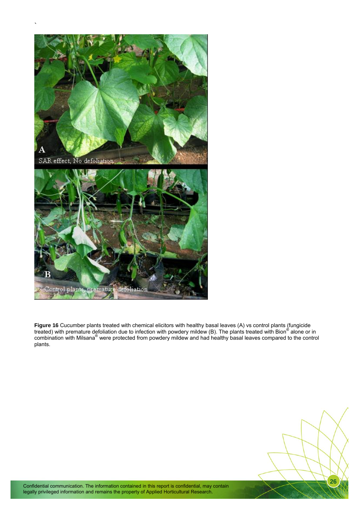

**Figure 16** Cucumber plants treated with chemical elicitors with healthy basal leaves (A) vs control plants (fungicide treated) with premature defoliation due to infection with powdery mildew (B). The plants treated with Bion® alone or in combination with Milsana<sup>®</sup> were protected from powdery mildew and had healthy basal leaves compared to the control plants.

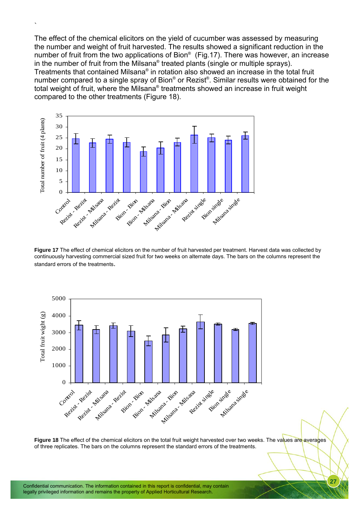The effect of the chemical elicitors on the yield of cucumber was assessed by measuring the number and weight of fruit harvested. The results showed a significant reduction in the number of fruit from the two applications of Bion<sup>®</sup> (Fig.17). There was however, an increase in the number of fruit from the Milsana® treated plants (single or multiple sprays). Treatments that contained Milsana® in rotation also showed an increase in the total fruit number compared to a single spray of Bion® or Rezist®. Similar results were obtained for the total weight of fruit, where the Milsana® treatments showed an increase in fruit weight compared to the other treatments (Figure 18).



 $\ddot{\phantom{1}}$ 

**Figure 17** The effect of chemical elicitors on the number of fruit harvested per treatment. Harvest data was collected by continuously harvesting commercial sized fruit for two weeks on alternate days. The bars on the columns represent the standard errors of the treatments.



**Figure 18** The effect of the chemical elicitors on the total fruit weight harvested over two weeks. The values are averages of three replicates. The bars on the columns represent the standard errors of the treatments.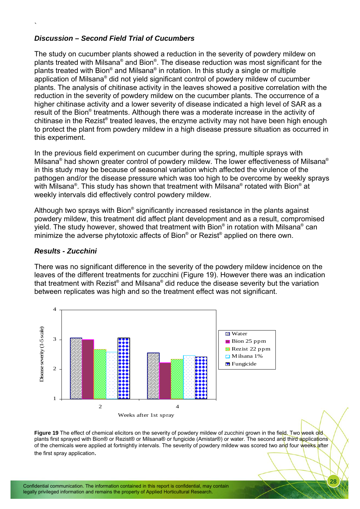#### *Discussion – Second Field Trial of Cucumbers*

The study on cucumber plants showed a reduction in the severity of powdery mildew on plants treated with Milsana® and Bion®. The disease reduction was most significant for the plants treated with Bion® and Milsana® in rotation. In this study a single or multiple application of Milsana® did not yield significant control of powdery mildew of cucumber plants. The analysis of chitinase activity in the leaves showed a positive correlation with the reduction in the severity of powdery mildew on the cucumber plants. The occurrence of a higher chitinase activity and a lower severity of disease indicated a high level of SAR as a result of the Bion® treatments. Although there was a moderate increase in the activity of chitinase in the Rezist® treated leaves, the enzyme activity may not have been high enough to protect the plant from powdery mildew in a high disease pressure situation as occurred in this experiment.

In the previous field experiment on cucumber during the spring, multiple sprays with Milsana® had shown greater control of powdery mildew. The lower effectiveness of Milsana® in this study may be because of seasonal variation which affected the virulence of the pathogen and/or the disease pressure which was too high to be overcome by weekly sprays with Milsana®. This study has shown that treatment with Milsana® rotated with Bion® at weekly intervals did effectively control powdery mildew.

Although two sprays with Bion® significantly increased resistance in the plants against powdery mildew, this treatment did affect plant development and as a result, compromised yield. The study however, showed that treatment with Bion® in rotation with Milsana® can minimize the adverse phytotoxic affects of Bion® or Rezist® applied on there own.

#### *Results - Zucchini*

`

There was no significant difference in the severity of the powdery mildew incidence on the leaves of the different treatments for zucchini (Figure 19). However there was an indication that treatment with Rezist® and Milsana® did reduce the disease severity but the variation between replicates was high and so the treatment effect was not significant.



**Figure 19** The effect of chemical elicitors on the severity of powdery mildew of zucchini grown in the field. Two week old plants first sprayed with Bion® or Rezist® or Milsana® or fungicide (Amistar®) or water. The second and third applications of the chemicals were applied at fortnightly intervals. The severity of powdery mildew was scored two and four weeks after the first spray application.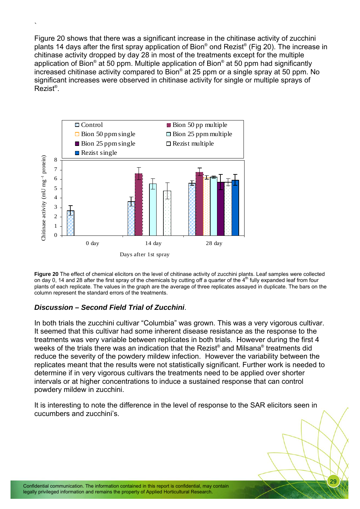Figure 20 shows that there was a significant increase in the chitinase activity of zucchini plants 14 days after the first spray application of Bion® ond Rezist® (Fig 20). The increase in chitinase activity dropped by day 28 in most of the treatments except for the multiple application of Bion® at 50 ppm. Multiple application of Bion® at 50 ppm had significantly increased chitinase activity compared to Bion® at 25 ppm or a single spray at 50 ppm. No significant increases were observed in chitinase activity for single or multiple sprays of Rezist® .



**Figure 20** The effect of chemical elicitors on the level of chitinase activity of zucchini plants. Leaf samples were collected on day 0, 14 and 28 after the first spray of the chemicals by cutting off a quarter of the  $4<sup>th</sup>$  fully expanded leaf from four plants of each replicate. The values in the graph are the average of three replicates assayed in duplicate. The bars on the column represent the standard errors of the treatments.

#### *Discussion – Second Field Trial of Zucchini*.

`

In both trials the zucchini cultivar "Columbia" was grown. This was a very vigorous cultivar. It seemed that this cultivar had some inherent disease resistance as the response to the treatments was very variable between replicates in both trials. However during the first 4 weeks of the trials there was an indication that the Rezist® and Milsana® treatments did reduce the severity of the powdery mildew infection. However the variability between the replicates meant that the results were not statistically significant. Further work is needed to determine if in very vigorous cultivars the treatments need to be applied over shorter intervals or at higher concentrations to induce a sustained response that can control powdery mildew in zucchini.

It is interesting to note the difference in the level of response to the SAR elicitors seen in cucumbers and zucchini's.

Confidential communication. The information contained in this report is confidential, may contain legally privileged information and remains the property of Applied Horticultural Research.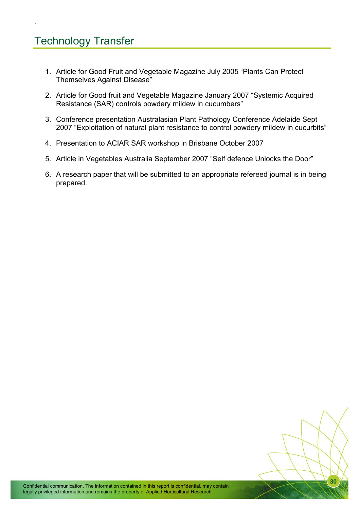## Technology Transfer

`

- 1. Article for Good Fruit and Vegetable Magazine July 2005 "Plants Can Protect Themselves Against Disease"
- 2. Article for Good fruit and Vegetable Magazine January 2007 "Systemic Acquired Resistance (SAR) controls powdery mildew in cucumbers"
- 3. Conference presentation Australasian Plant Pathology Conference Adelaide Sept 2007 "Exploitation of natural plant resistance to control powdery mildew in cucurbits"
- 4. Presentation to ACIAR SAR workshop in Brisbane October 2007
- 5. Article in Vegetables Australia September 2007 "Self defence Unlocks the Door"
- 6. A research paper that will be submitted to an appropriate refereed journal is in being prepared.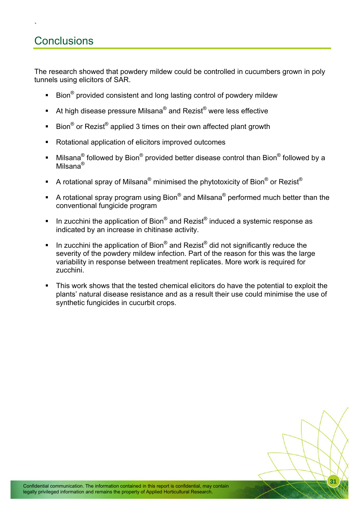## **Conclusions**

`

The research showed that powdery mildew could be controlled in cucumbers grown in poly tunnels using elicitors of SAR.

- **Bion**<sup>®</sup> provided consistent and long lasting control of powdery mildew
- At high disease pressure Milsana<sup>®</sup> and Rezist<sup>®</sup> were less effective
- Bion<sup>®</sup> or Rezist<sup>®</sup> applied 3 times on their own affected plant growth
- Rotational application of elicitors improved outcomes
- Milsana® followed by Bion® provided better disease control than Bion® followed by a Milsana®
- A rotational spray of Milsana<sup>®</sup> minimised the phytotoxicity of Bion<sup>®</sup> or Rezist<sup>®</sup>
- A rotational spray program using Bion<sup>®</sup> and Milsana<sup>®</sup> performed much better than the conventional fungicide program
- In zucchini the application of Bion<sup>®</sup> and Rezist<sup>®</sup> induced a systemic response as indicated by an increase in chitinase activity.
- In zucchini the application of Bion<sup>®</sup> and Rezist<sup>®</sup> did not significantly reduce the severity of the powdery mildew infection. Part of the reason for this was the large variability in response between treatment replicates. More work is required for zucchini.
- This work shows that the tested chemical elicitors do have the potential to exploit the plants' natural disease resistance and as a result their use could minimise the use of synthetic fungicides in cucurbit crops.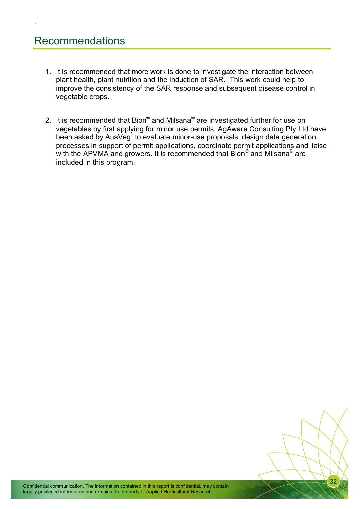## Recommendations

`

- 1. It is recommended that more work is done to investigate the interaction between plant health, plant nutrition and the induction of SAR. This work could help to improve the consistency of the SAR response and subsequent disease control in vegetable crops.
- 2. It is recommended that Bion $^{\circledR}$  and Milsana $^{\circledR}$  are investigated further for use on vegetables by first applying for minor use permits. AgAware Consulting Pty Ltd have been asked by AusVeg to evaluate minor-use proposals, design data generation processes in support of permit applications, coordinate permit applications and liaise with the APVMA and growers. It is recommended that Bion<sup>®</sup> and Milsana<sup>®</sup> are included in this program.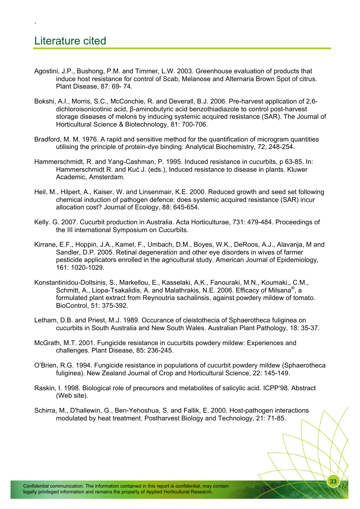`

- Agostini, J.P., Bushong, P.M. and Timmer, L.W. 2003. Greenhouse evaluation of products that induce host resistance for control of Scab, Melanose and Alternaria Brown Spot of citrus. Plant Disease, 87: 69- 74.
- Bokshi, A.I., Morris, S.C., McConchie, R. and Deverall, B.J. 2006. Pre-harvest application of 2,6 dichloroisonicotinic acid, β-aminobutyric acid benzothiadiazole to control post-harvest storage diseases of melons by inducing systemic acquired resistance (SAR). The Journal of Horticultural Science & Biotechnology, 81: 700-706.
- Bradford, M. M. 1976. A rapid and sensitive method for the quantification of microgram quantities utilising the principle of protein-dye binding. Analytical Biochemistry, 72, 248-254.
- Hammerschmidt, R. and Yang-Cashman, P. 1995. Induced resistance in cucurbits, p 63-85. In: Hammerschmidt R. and Kuć J. (eds.), Induced resistance to disease in plants. Kluwer Academic, Amsterdam.
- Heil, M., Hilpert, A., Kaiser, W. and Linsenmair, K.E. 2000. Reduced growth and seed set following chemical induction of pathogen defence: does systemic acquired resistance (SAR) incur allocation cost? Journal of Ecology, 88: 645-654.
- Kelly. G. 2007. Cucurbit production in Australia. Acta Horticulturae, 731: 479-484. Proceedings of the III international Symposium on Cucurbits.
- Kirrane, E.F., Hoppin, J.A., Kamel, F., Umbach, D.M., Boyes, W.K., DeRoos, A.J., Alavanja, M and Sandler, D.P. 2005. Retinal degeneration and other eye disorders in wives of farmer pesticide applicators enrolled in the agricultural study. American Journal of Epidemiology, 161: 1020-1029.
- Konstantinidou-Doltsinis, S., Markellou, E., Kasselaki, A.K., Fanouraki, M.N., Koumaki,, C.M., Schmitt, A., Liopa-Tsakalidis, A. and Malathrakis, N.E. 2006. Efficacy of Milsana<sup>®</sup>, a formulated plant extract from Reynoutria sachalinsis, against powdery mildew of tomato. BioControl, 51: 375-392.
- Letham, D.B. and Priest, M.J. 1989. Occurance of cleistothecia of Sphaerotheca fuliginea on cucurbits in South Australia and New South Wales. Australian Plant Pathology, 18: 35-37.
- McGrath, M.T. 2001. Fungicide resistance in cucurbits powdery mildew: Experiences and challenges. Plant Disease, 85: 236-245.
- O'Brien, R.G. 1994. Fungicide resistance in populations of cucurbit powdery mildew (Sphaerotheca fuliginea). New Zealand Journal of Crop and Horticultural Science, 22: 145-149.
- Raskin, I. 1998. Biological role of precursors and metabolites of salicylic acid. ICPP'98. Abstract (Web site).
- Schirra, M., D'hallewin, G., Ben-Yehoshua, S. and Fallik, E. 2000. Host-pathogen interactions modulated by heat treatment. Postharvest Biology and Technology, 21: 71-85.